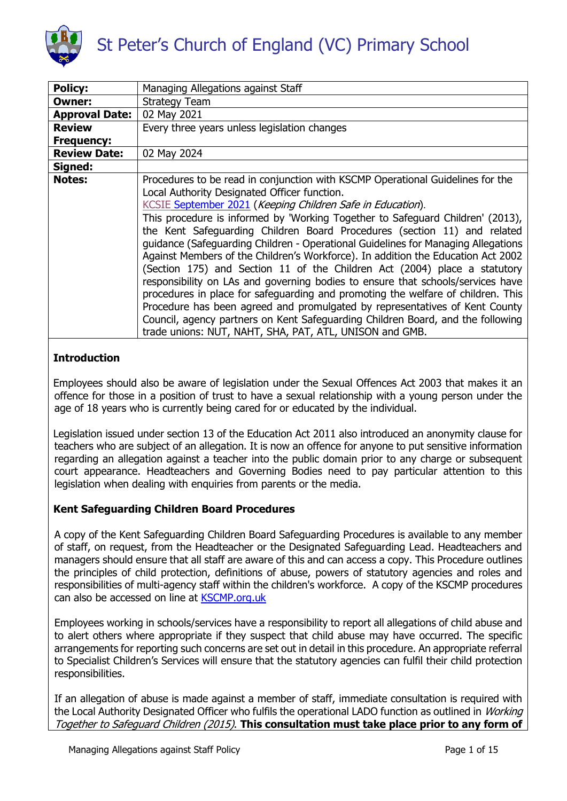

| <b>Policy:</b>        | Managing Allegations against Staff                                                                                                                                                                                                                                                                                                                                                                                                                                                                                                                                |
|-----------------------|-------------------------------------------------------------------------------------------------------------------------------------------------------------------------------------------------------------------------------------------------------------------------------------------------------------------------------------------------------------------------------------------------------------------------------------------------------------------------------------------------------------------------------------------------------------------|
| <b>Owner:</b>         | <b>Strategy Team</b>                                                                                                                                                                                                                                                                                                                                                                                                                                                                                                                                              |
| <b>Approval Date:</b> | 02 May 2021                                                                                                                                                                                                                                                                                                                                                                                                                                                                                                                                                       |
| <b>Review</b>         | Every three years unless legislation changes                                                                                                                                                                                                                                                                                                                                                                                                                                                                                                                      |
| <b>Frequency:</b>     |                                                                                                                                                                                                                                                                                                                                                                                                                                                                                                                                                                   |
| <b>Review Date:</b>   | 02 May 2024                                                                                                                                                                                                                                                                                                                                                                                                                                                                                                                                                       |
| Signed:               |                                                                                                                                                                                                                                                                                                                                                                                                                                                                                                                                                                   |
| <b>Notes:</b>         | Procedures to be read in conjunction with KSCMP Operational Guidelines for the<br>Local Authority Designated Officer function.<br>KCSIE September 2021 (Keeping Children Safe in Education).<br>This procedure is informed by 'Working Together to Safeguard Children' (2013),<br>the Kent Safeguarding Children Board Procedures (section 11) and related<br>guidance (Safeguarding Children - Operational Guidelines for Managing Allegations                                                                                                                   |
|                       | Against Members of the Children's Workforce). In addition the Education Act 2002<br>(Section 175) and Section 11 of the Children Act (2004) place a statutory<br>responsibility on LAs and governing bodies to ensure that schools/services have<br>procedures in place for safeguarding and promoting the welfare of children. This<br>Procedure has been agreed and promulgated by representatives of Kent County<br>Council, agency partners on Kent Safeguarding Children Board, and the following<br>trade unions: NUT, NAHT, SHA, PAT, ATL, UNISON and GMB. |

# **Introduction**

Employees should also be aware of legislation under the Sexual Offences Act 2003 that makes it an offence for those in a position of trust to have a sexual relationship with a young person under the age of 18 years who is currently being cared for or educated by the individual.

Legislation issued under section 13 of the Education Act 2011 also introduced an anonymity clause for teachers who are subject of an allegation. It is now an offence for anyone to put sensitive information regarding an allegation against a teacher into the public domain prior to any charge or subsequent court appearance. Headteachers and Governing Bodies need to pay particular attention to this legislation when dealing with enquiries from parents or the media.

# **Kent Safeguarding Children Board Procedures**

A copy of the Kent Safeguarding Children Board Safeguarding Procedures is available to any member of staff, on request, from the Headteacher or the Designated Safeguarding Lead. Headteachers and managers should ensure that all staff are aware of this and can access a copy. This Procedure outlines the principles of child protection, definitions of abuse, powers of statutory agencies and roles and responsibilities of multi-agency staff within the children's workforce. A copy of the KSCMP procedures can also be accessed on line at [KSCMP.org.uk](https://www.kscmp.org.uk/)

Employees working in schools/services have a responsibility to report all allegations of child abuse and to alert others where appropriate if they suspect that child abuse may have occurred. The specific arrangements for reporting such concerns are set out in detail in this procedure. An appropriate referral to Specialist Children's Services will ensure that the statutory agencies can fulfil their child protection responsibilities.

If an allegation of abuse is made against a member of staff, immediate consultation is required with the Local Authority Designated Officer who fulfils the operational LADO function as outlined in Working Together to Safeguard Children (2015). **This consultation must take place prior to any form of**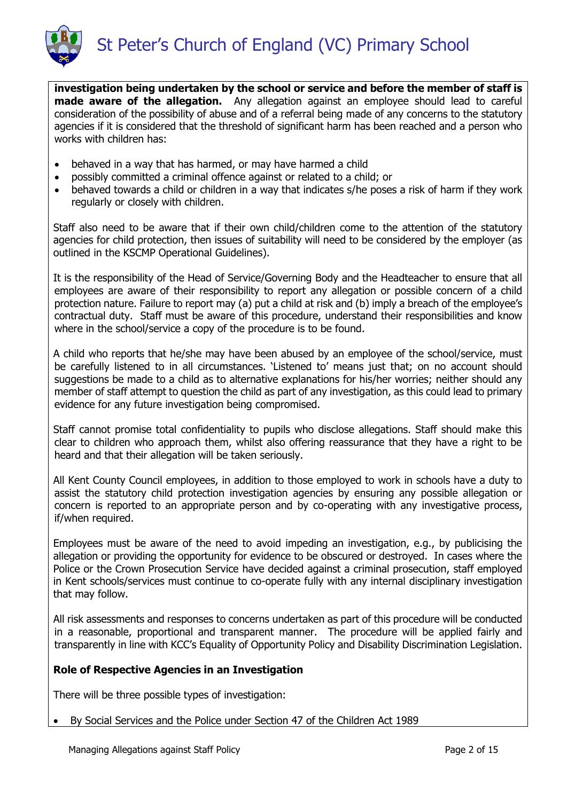

**investigation being undertaken by the school or service and before the member of staff is made aware of the allegation.** Any allegation against an employee should lead to careful consideration of the possibility of abuse and of a referral being made of any concerns to the statutory agencies if it is considered that the threshold of significant harm has been reached and a person who works with children has:

- behaved in a way that has harmed, or may have harmed a child
- possibly committed a criminal offence against or related to a child; or
- behaved towards a child or children in a way that indicates s/he poses a risk of harm if they work regularly or closely with children.

Staff also need to be aware that if their own child/children come to the attention of the statutory agencies for child protection, then issues of suitability will need to be considered by the employer (as outlined in the KSCMP Operational Guidelines).

It is the responsibility of the Head of Service/Governing Body and the Headteacher to ensure that all employees are aware of their responsibility to report any allegation or possible concern of a child protection nature. Failure to report may (a) put a child at risk and (b) imply a breach of the employee's contractual duty. Staff must be aware of this procedure, understand their responsibilities and know where in the school/service a copy of the procedure is to be found.

A child who reports that he/she may have been abused by an employee of the school/service, must be carefully listened to in all circumstances. 'Listened to' means just that; on no account should suggestions be made to a child as to alternative explanations for his/her worries; neither should any member of staff attempt to question the child as part of any investigation, as this could lead to primary evidence for any future investigation being compromised.

Staff cannot promise total confidentiality to pupils who disclose allegations. Staff should make this clear to children who approach them, whilst also offering reassurance that they have a right to be heard and that their allegation will be taken seriously.

All Kent County Council employees, in addition to those employed to work in schools have a duty to assist the statutory child protection investigation agencies by ensuring any possible allegation or concern is reported to an appropriate person and by co-operating with any investigative process, if/when required.

Employees must be aware of the need to avoid impeding an investigation, e.g., by publicising the allegation or providing the opportunity for evidence to be obscured or destroyed. In cases where the Police or the Crown Prosecution Service have decided against a criminal prosecution, staff employed in Kent schools/services must continue to co-operate fully with any internal disciplinary investigation that may follow.

All risk assessments and responses to concerns undertaken as part of this procedure will be conducted in a reasonable, proportional and transparent manner. The procedure will be applied fairly and transparently in line with KCC's Equality of Opportunity Policy and Disability Discrimination Legislation.

# **Role of Respective Agencies in an Investigation**

There will be three possible types of investigation:

By Social Services and the Police under Section 47 of the Children Act 1989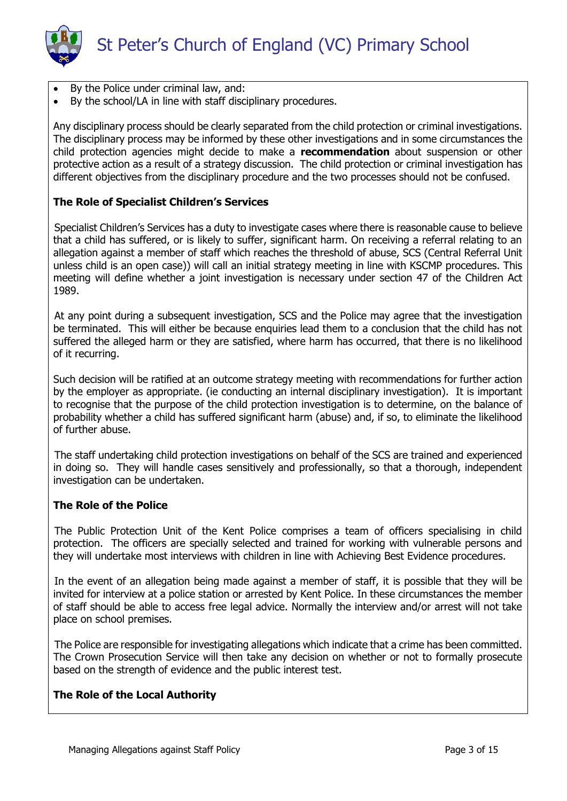

- By the Police under criminal law, and:
- By the school/LA in line with staff disciplinary procedures.

Any disciplinary process should be clearly separated from the child protection or criminal investigations. The disciplinary process may be informed by these other investigations and in some circumstances the child protection agencies might decide to make a **recommendation** about suspension or other protective action as a result of a strategy discussion. The child protection or criminal investigation has different objectives from the disciplinary procedure and the two processes should not be confused.

### **The Role of Specialist Children's Services**

Specialist Children's Services has a duty to investigate cases where there is reasonable cause to believe that a child has suffered, or is likely to suffer, significant harm. On receiving a referral relating to an allegation against a member of staff which reaches the threshold of abuse, SCS (Central Referral Unit unless child is an open case)) will call an initial strategy meeting in line with KSCMP procedures. This meeting will define whether a joint investigation is necessary under section 47 of the Children Act 1989.

At any point during a subsequent investigation, SCS and the Police may agree that the investigation be terminated. This will either be because enquiries lead them to a conclusion that the child has not suffered the alleged harm or they are satisfied, where harm has occurred, that there is no likelihood of it recurring.

Such decision will be ratified at an outcome strategy meeting with recommendations for further action by the employer as appropriate. (ie conducting an internal disciplinary investigation). It is important to recognise that the purpose of the child protection investigation is to determine, on the balance of probability whether a child has suffered significant harm (abuse) and, if so, to eliminate the likelihood of further abuse.

The staff undertaking child protection investigations on behalf of the SCS are trained and experienced in doing so. They will handle cases sensitively and professionally, so that a thorough, independent investigation can be undertaken.

#### **The Role of the Police**

The Public Protection Unit of the Kent Police comprises a team of officers specialising in child protection. The officers are specially selected and trained for working with vulnerable persons and they will undertake most interviews with children in line with Achieving Best Evidence procedures.

In the event of an allegation being made against a member of staff, it is possible that they will be invited for interview at a police station or arrested by Kent Police. In these circumstances the member of staff should be able to access free legal advice. Normally the interview and/or arrest will not take place on school premises.

The Police are responsible for investigating allegations which indicate that a crime has been committed. The Crown Prosecution Service will then take any decision on whether or not to formally prosecute based on the strength of evidence and the public interest test.

### **The Role of the Local Authority**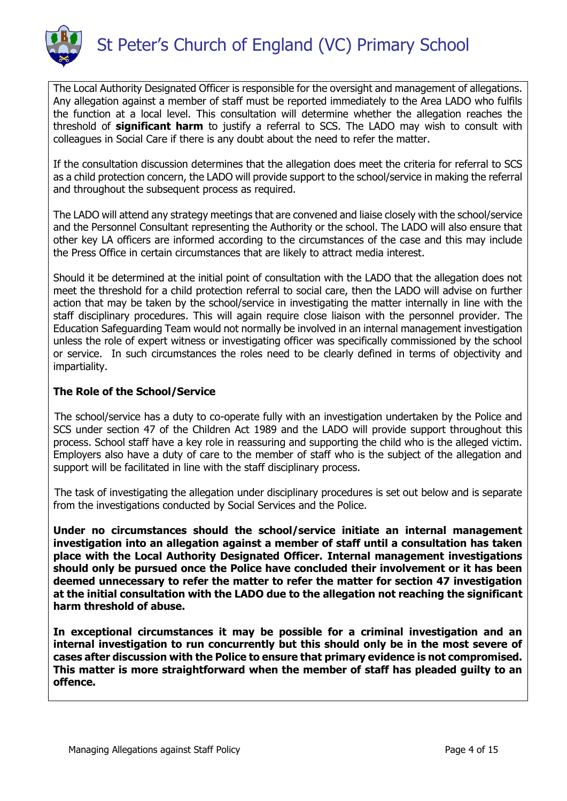

The Local Authority Designated Officer is responsible for the oversight and management of allegations. Any allegation against a member of staff must be reported immediately to the Area LADO who fulfils the function at a local level. This consultation will determine whether the allegation reaches the threshold of **significant harm** to justify a referral to SCS. The LADO may wish to consult with colleagues in Social Care if there is any doubt about the need to refer the matter.

If the consultation discussion determines that the allegation does meet the criteria for referral to SCS as a child protection concern, the LADO will provide support to the school/service in making the referral and throughout the subsequent process as required.

The LADO will attend any strategy meetings that are convened and liaise closely with the school/service and the Personnel Consultant representing the Authority or the school. The LADO will also ensure that other key LA officers are informed according to the circumstances of the case and this may include the Press Office in certain circumstances that are likely to attract media interest.

Should it be determined at the initial point of consultation with the LADO that the allegation does not meet the threshold for a child protection referral to social care, then the LADO will advise on further action that may be taken by the school/service in investigating the matter internally in line with the staff disciplinary procedures. This will again require close liaison with the personnel provider. The Education Safeguarding Team would not normally be involved in an internal management investigation unless the role of expert witness or investigating officer was specifically commissioned by the school or service. In such circumstances the roles need to be clearly defined in terms of objectivity and impartiality.

# **The Role of the School/Service**

The school/service has a duty to co-operate fully with an investigation undertaken by the Police and SCS under section 47 of the Children Act 1989 and the LADO will provide support throughout this process. School staff have a key role in reassuring and supporting the child who is the alleged victim. Employers also have a duty of care to the member of staff who is the subject of the allegation and support will be facilitated in line with the staff disciplinary process.

The task of investigating the allegation under disciplinary procedures is set out below and is separate from the investigations conducted by Social Services and the Police.

**Under no circumstances should the school/service initiate an internal management investigation into an allegation against a member of staff until a consultation has taken place with the Local Authority Designated Officer. Internal management investigations should only be pursued once the Police have concluded their involvement or it has been deemed unnecessary to refer the matter to refer the matter for section 47 investigation at the initial consultation with the LADO due to the allegation not reaching the significant harm threshold of abuse.** 

**In exceptional circumstances it may be possible for a criminal investigation and an internal investigation to run concurrently but this should only be in the most severe of cases after discussion with the Police to ensure that primary evidence is not compromised. This matter is more straightforward when the member of staff has pleaded guilty to an offence.**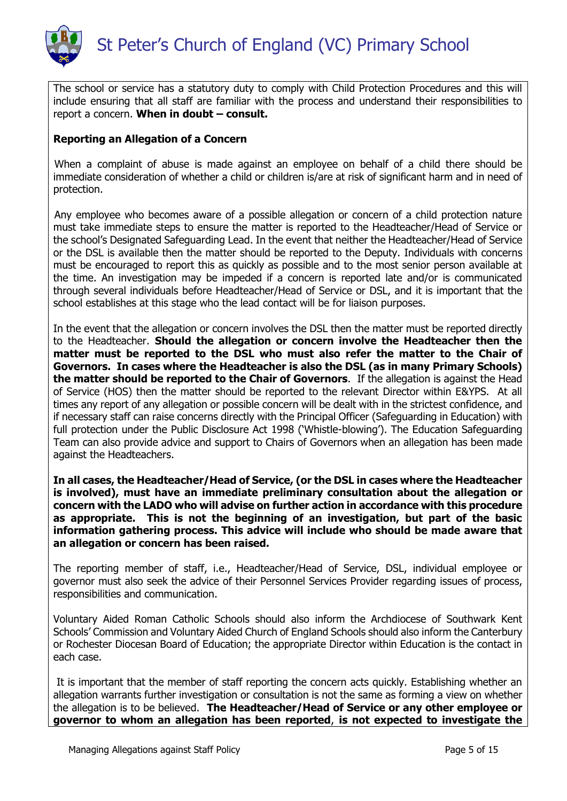

The school or service has a statutory duty to comply with Child Protection Procedures and this will include ensuring that all staff are familiar with the process and understand their responsibilities to report a concern. **When in doubt – consult.**

# **Reporting an Allegation of a Concern**

When a complaint of abuse is made against an employee on behalf of a child there should be immediate consideration of whether a child or children is/are at risk of significant harm and in need of protection.

Any employee who becomes aware of a possible allegation or concern of a child protection nature must take immediate steps to ensure the matter is reported to the Headteacher/Head of Service or the school's Designated Safeguarding Lead. In the event that neither the Headteacher/Head of Service or the DSL is available then the matter should be reported to the Deputy. Individuals with concerns must be encouraged to report this as quickly as possible and to the most senior person available at the time. An investigation may be impeded if a concern is reported late and/or is communicated through several individuals before Headteacher/Head of Service or DSL, and it is important that the school establishes at this stage who the lead contact will be for liaison purposes.

In the event that the allegation or concern involves the DSL then the matter must be reported directly to the Headteacher. **Should the allegation or concern involve the Headteacher then the matter must be reported to the DSL who must also refer the matter to the Chair of Governors. In cases where the Headteacher is also the DSL (as in many Primary Schools) the matter should be reported to the Chair of Governors**. If the allegation is against the Head of Service (HOS) then the matter should be reported to the relevant Director within E&YPS. At all times any report of any allegation or possible concern will be dealt with in the strictest confidence, and if necessary staff can raise concerns directly with the Principal Officer (Safeguarding in Education) with full protection under the Public Disclosure Act 1998 ('Whistle-blowing'). The Education Safeguarding Team can also provide advice and support to Chairs of Governors when an allegation has been made against the Headteachers.

**In all cases, the Headteacher/Head of Service, (or the DSL in cases where the Headteacher is involved), must have an immediate preliminary consultation about the allegation or concern with the LADO who will advise on further action in accordance with this procedure as appropriate. This is not the beginning of an investigation, but part of the basic information gathering process. This advice will include who should be made aware that an allegation or concern has been raised.**

The reporting member of staff, i.e., Headteacher/Head of Service, DSL, individual employee or governor must also seek the advice of their Personnel Services Provider regarding issues of process, responsibilities and communication.

Voluntary Aided Roman Catholic Schools should also inform the Archdiocese of Southwark Kent Schools' Commission and Voluntary Aided Church of England Schools should also inform the Canterbury or Rochester Diocesan Board of Education; the appropriate Director within Education is the contact in each case.

It is important that the member of staff reporting the concern acts quickly. Establishing whether an allegation warrants further investigation or consultation is not the same as forming a view on whether the allegation is to be believed. **The Headteacher/Head of Service or any other employee or governor to whom an allegation has been reported**, **is not expected to investigate the**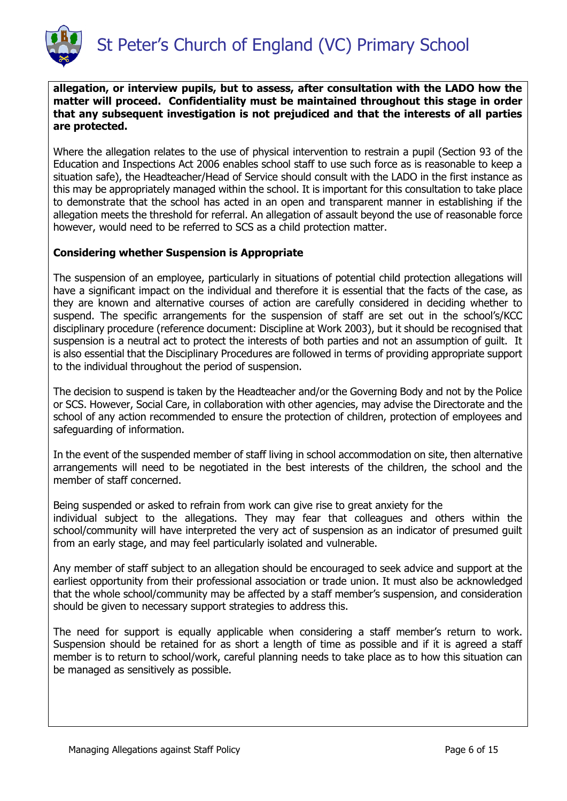

**allegation, or interview pupils, but to assess, after consultation with the LADO how the matter will proceed. Confidentiality must be maintained throughout this stage in order that any subsequent investigation is not prejudiced and that the interests of all parties are protected.**

Where the allegation relates to the use of physical intervention to restrain a pupil (Section 93 of the Education and Inspections Act 2006 enables school staff to use such force as is reasonable to keep a situation safe), the Headteacher/Head of Service should consult with the LADO in the first instance as this may be appropriately managed within the school. It is important for this consultation to take place to demonstrate that the school has acted in an open and transparent manner in establishing if the allegation meets the threshold for referral. An allegation of assault beyond the use of reasonable force however, would need to be referred to SCS as a child protection matter.

# **Considering whether Suspension is Appropriate**

The suspension of an employee, particularly in situations of potential child protection allegations will have a significant impact on the individual and therefore it is essential that the facts of the case, as they are known and alternative courses of action are carefully considered in deciding whether to suspend. The specific arrangements for the suspension of staff are set out in the school's/KCC disciplinary procedure (reference document: Discipline at Work 2003), but it should be recognised that suspension is a neutral act to protect the interests of both parties and not an assumption of guilt. It is also essential that the Disciplinary Procedures are followed in terms of providing appropriate support to the individual throughout the period of suspension.

The decision to suspend is taken by the Headteacher and/or the Governing Body and not by the Police or SCS. However, Social Care, in collaboration with other agencies, may advise the Directorate and the school of any action recommended to ensure the protection of children, protection of employees and safeguarding of information.

In the event of the suspended member of staff living in school accommodation on site, then alternative arrangements will need to be negotiated in the best interests of the children, the school and the member of staff concerned.

Being suspended or asked to refrain from work can give rise to great anxiety for the individual subject to the allegations. They may fear that colleagues and others within the school/community will have interpreted the very act of suspension as an indicator of presumed guilt from an early stage, and may feel particularly isolated and vulnerable.

Any member of staff subject to an allegation should be encouraged to seek advice and support at the earliest opportunity from their professional association or trade union. It must also be acknowledged that the whole school/community may be affected by a staff member's suspension, and consideration should be given to necessary support strategies to address this.

The need for support is equally applicable when considering a staff member's return to work. Suspension should be retained for as short a length of time as possible and if it is agreed a staff member is to return to school/work, careful planning needs to take place as to how this situation can be managed as sensitively as possible.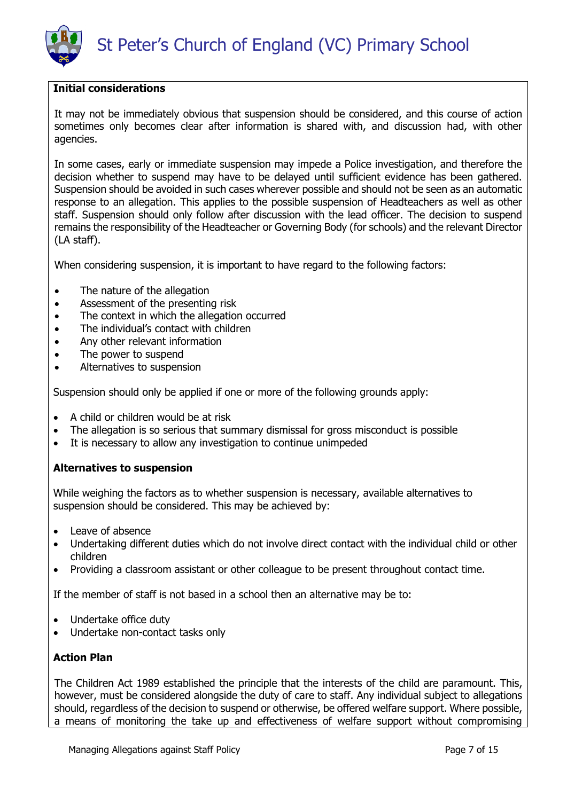

### **Initial considerations**

It may not be immediately obvious that suspension should be considered, and this course of action sometimes only becomes clear after information is shared with, and discussion had, with other agencies.

In some cases, early or immediate suspension may impede a Police investigation, and therefore the decision whether to suspend may have to be delayed until sufficient evidence has been gathered. Suspension should be avoided in such cases wherever possible and should not be seen as an automatic response to an allegation. This applies to the possible suspension of Headteachers as well as other staff. Suspension should only follow after discussion with the lead officer. The decision to suspend remains the responsibility of the Headteacher or Governing Body (for schools) and the relevant Director (LA staff).

When considering suspension, it is important to have regard to the following factors:

- The nature of the allegation
- Assessment of the presenting risk
- The context in which the allegation occurred
- The individual's contact with children
- Any other relevant information
- The power to suspend
- Alternatives to suspension

Suspension should only be applied if one or more of the following grounds apply:

- A child or children would be at risk
- The allegation is so serious that summary dismissal for gross misconduct is possible
- It is necessary to allow any investigation to continue unimpeded

#### **Alternatives to suspension**

While weighing the factors as to whether suspension is necessary, available alternatives to suspension should be considered. This may be achieved by:

- Leave of absence
- Undertaking different duties which do not involve direct contact with the individual child or other children
- Providing a classroom assistant or other colleague to be present throughout contact time.

If the member of staff is not based in a school then an alternative may be to:

- Undertake office duty
- Undertake non-contact tasks only

### **Action Plan**

The Children Act 1989 established the principle that the interests of the child are paramount. This, however, must be considered alongside the duty of care to staff. Any individual subject to allegations should, regardless of the decision to suspend or otherwise, be offered welfare support. Where possible, a means of monitoring the take up and effectiveness of welfare support without compromising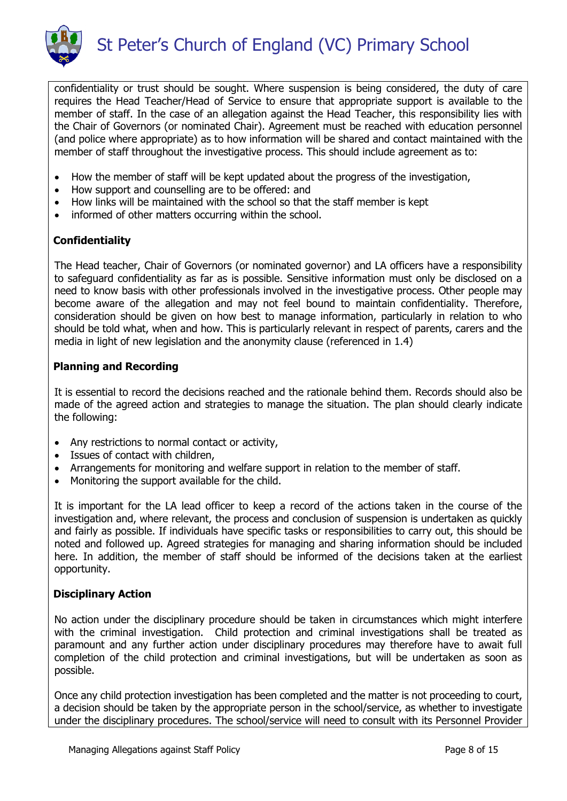

confidentiality or trust should be sought. Where suspension is being considered, the duty of care requires the Head Teacher/Head of Service to ensure that appropriate support is available to the member of staff. In the case of an allegation against the Head Teacher, this responsibility lies with the Chair of Governors (or nominated Chair). Agreement must be reached with education personnel (and police where appropriate) as to how information will be shared and contact maintained with the member of staff throughout the investigative process. This should include agreement as to:

- How the member of staff will be kept updated about the progress of the investigation,
- How support and counselling are to be offered: and
- How links will be maintained with the school so that the staff member is kept
- informed of other matters occurring within the school.

# **Confidentiality**

The Head teacher, Chair of Governors (or nominated governor) and LA officers have a responsibility to safeguard confidentiality as far as is possible. Sensitive information must only be disclosed on a need to know basis with other professionals involved in the investigative process. Other people may become aware of the allegation and may not feel bound to maintain confidentiality. Therefore, consideration should be given on how best to manage information, particularly in relation to who should be told what, when and how. This is particularly relevant in respect of parents, carers and the media in light of new legislation and the anonymity clause (referenced in 1.4)

# **Planning and Recording**

It is essential to record the decisions reached and the rationale behind them. Records should also be made of the agreed action and strategies to manage the situation. The plan should clearly indicate the following:

- Any restrictions to normal contact or activity,
- Issues of contact with children,
- Arrangements for monitoring and welfare support in relation to the member of staff.
- Monitoring the support available for the child.

It is important for the LA lead officer to keep a record of the actions taken in the course of the investigation and, where relevant, the process and conclusion of suspension is undertaken as quickly and fairly as possible. If individuals have specific tasks or responsibilities to carry out, this should be noted and followed up. Agreed strategies for managing and sharing information should be included here. In addition, the member of staff should be informed of the decisions taken at the earliest opportunity.

# **Disciplinary Action**

No action under the disciplinary procedure should be taken in circumstances which might interfere with the criminal investigation. Child protection and criminal investigations shall be treated as paramount and any further action under disciplinary procedures may therefore have to await full completion of the child protection and criminal investigations, but will be undertaken as soon as possible.

Once any child protection investigation has been completed and the matter is not proceeding to court, a decision should be taken by the appropriate person in the school/service, as whether to investigate under the disciplinary procedures. The school/service will need to consult with its Personnel Provider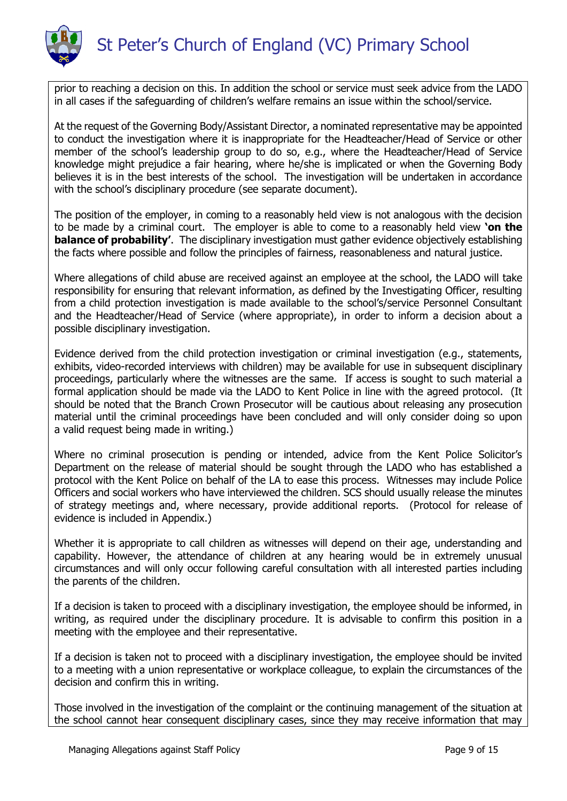

prior to reaching a decision on this. In addition the school or service must seek advice from the LADO in all cases if the safeguarding of children's welfare remains an issue within the school/service.

At the request of the Governing Body/Assistant Director, a nominated representative may be appointed to conduct the investigation where it is inappropriate for the Headteacher/Head of Service or other member of the school's leadership group to do so, e.g., where the Headteacher/Head of Service knowledge might prejudice a fair hearing, where he/she is implicated or when the Governing Body believes it is in the best interests of the school. The investigation will be undertaken in accordance with the school's disciplinary procedure (see separate document).

The position of the employer, in coming to a reasonably held view is not analogous with the decision to be made by a criminal court. The employer is able to come to a reasonably held view **'on the balance of probability'**. The disciplinary investigation must gather evidence objectively establishing the facts where possible and follow the principles of fairness, reasonableness and natural justice.

Where allegations of child abuse are received against an employee at the school, the LADO will take responsibility for ensuring that relevant information, as defined by the Investigating Officer, resulting from a child protection investigation is made available to the school's/service Personnel Consultant and the Headteacher/Head of Service (where appropriate), in order to inform a decision about a possible disciplinary investigation.

Evidence derived from the child protection investigation or criminal investigation (e.g., statements, exhibits, video-recorded interviews with children) may be available for use in subsequent disciplinary proceedings, particularly where the witnesses are the same. If access is sought to such material a formal application should be made via the LADO to Kent Police in line with the agreed protocol. (It should be noted that the Branch Crown Prosecutor will be cautious about releasing any prosecution material until the criminal proceedings have been concluded and will only consider doing so upon a valid request being made in writing.)

Where no criminal prosecution is pending or intended, advice from the Kent Police Solicitor's Department on the release of material should be sought through the LADO who has established a protocol with the Kent Police on behalf of the LA to ease this process. Witnesses may include Police Officers and social workers who have interviewed the children. SCS should usually release the minutes of strategy meetings and, where necessary, provide additional reports. (Protocol for release of evidence is included in Appendix.)

Whether it is appropriate to call children as witnesses will depend on their age, understanding and capability. However, the attendance of children at any hearing would be in extremely unusual circumstances and will only occur following careful consultation with all interested parties including the parents of the children.

If a decision is taken to proceed with a disciplinary investigation, the employee should be informed, in writing, as required under the disciplinary procedure. It is advisable to confirm this position in a meeting with the employee and their representative.

If a decision is taken not to proceed with a disciplinary investigation, the employee should be invited to a meeting with a union representative or workplace colleague, to explain the circumstances of the decision and confirm this in writing.

Those involved in the investigation of the complaint or the continuing management of the situation at the school cannot hear consequent disciplinary cases, since they may receive information that may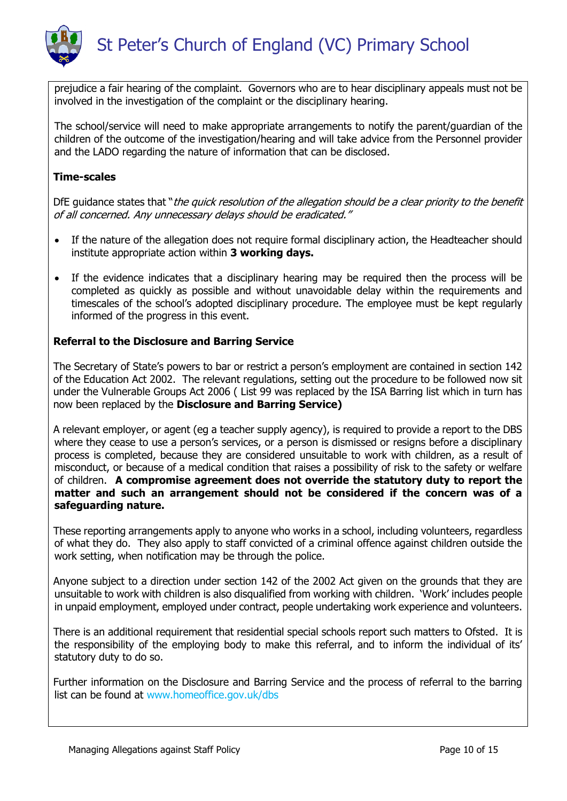

prejudice a fair hearing of the complaint. Governors who are to hear disciplinary appeals must not be involved in the investigation of the complaint or the disciplinary hearing.

The school/service will need to make appropriate arrangements to notify the parent/guardian of the children of the outcome of the investigation/hearing and will take advice from the Personnel provider and the LADO regarding the nature of information that can be disclosed.

# **Time-scales**

DfE guidance states that "the quick resolution of the allegation should be a clear priority to the benefit of all concerned. Any unnecessary delays should be eradicated."

- If the nature of the allegation does not require formal disciplinary action, the Headteacher should institute appropriate action within **3 working days.**
- If the evidence indicates that a disciplinary hearing may be required then the process will be completed as quickly as possible and without unavoidable delay within the requirements and timescales of the school's adopted disciplinary procedure. The employee must be kept regularly informed of the progress in this event.

# **Referral to the Disclosure and Barring Service**

The Secretary of State's powers to bar or restrict a person's employment are contained in section 142 of the Education Act 2002. The relevant regulations, setting out the procedure to be followed now sit under the Vulnerable Groups Act 2006 ( List 99 was replaced by the ISA Barring list which in turn has now been replaced by the **Disclosure and Barring Service)**

A relevant employer, or agent (eg a teacher supply agency), is required to provide a report to the DBS where they cease to use a person's services, or a person is dismissed or resigns before a disciplinary process is completed, because they are considered unsuitable to work with children, as a result of misconduct, or because of a medical condition that raises a possibility of risk to the safety or welfare of children. **A compromise agreement does not override the statutory duty to report the matter and such an arrangement should not be considered if the concern was of a safeguarding nature.**

These reporting arrangements apply to anyone who works in a school, including volunteers, regardless of what they do. They also apply to staff convicted of a criminal offence against children outside the work setting, when notification may be through the police.

Anyone subject to a direction under section 142 of the 2002 Act given on the grounds that they are unsuitable to work with children is also disqualified from working with children. 'Work' includes people in unpaid employment, employed under contract, people undertaking work experience and volunteers.

There is an additional requirement that residential special schools report such matters to Ofsted. It is the responsibility of the employing body to make this referral, and to inform the individual of its' statutory duty to do so.

Further information on the Disclosure and Barring Service and the process of referral to the barring list can be found at www.homeoffice.gov.uk/dbs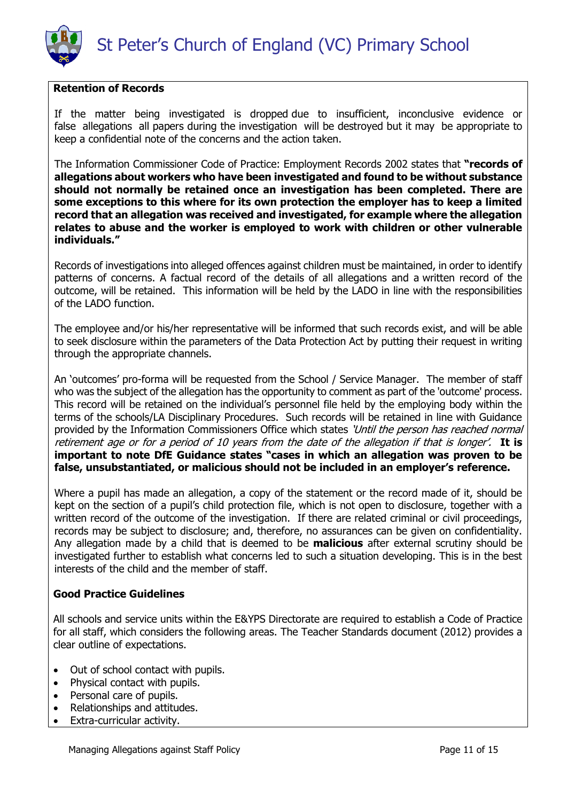

### **Retention of Records**

If the matter being investigated is dropped due to insufficient, inconclusive evidence or false allegations all papers during the investigation will be destroyed but it may be appropriate to keep a confidential note of the concerns and the action taken.

The Information Commissioner Code of Practice: Employment Records 2002 states that **"records of allegations about workers who have been investigated and found to be without substance should not normally be retained once an investigation has been completed. There are some exceptions to this where for its own protection the employer has to keep a limited record that an allegation was received and investigated, for example where the allegation relates to abuse and the worker is employed to work with children or other vulnerable individuals."**

Records of investigations into alleged offences against children must be maintained, in order to identify patterns of concerns. A factual record of the details of all allegations and a written record of the outcome, will be retained. This information will be held by the LADO in line with the responsibilities of the LADO function.

The employee and/or his/her representative will be informed that such records exist, and will be able to seek disclosure within the parameters of the Data Protection Act by putting their request in writing through the appropriate channels.

An 'outcomes' pro-forma will be requested from the School / Service Manager. The member of staff who was the subject of the allegation has the opportunity to comment as part of the 'outcome' process. This record will be retained on the individual's personnel file held by the employing body within the terms of the schools/LA Disciplinary Procedures. Such records will be retained in line with Guidance provided by the Information Commissioners Office which states 'Until the person has reached normal retirement age or for a period of 10 years from the date of the allegation if that is longer'. **It is important to note DfE Guidance states "cases in which an allegation was proven to be false, unsubstantiated, or malicious should not be included in an employer's reference.**

Where a pupil has made an allegation, a copy of the statement or the record made of it, should be kept on the section of a pupil's child protection file, which is not open to disclosure, together with a written record of the outcome of the investigation. If there are related criminal or civil proceedings, records may be subject to disclosure; and, therefore, no assurances can be given on confidentiality. Any allegation made by a child that is deemed to be **malicious** after external scrutiny should be investigated further to establish what concerns led to such a situation developing. This is in the best interests of the child and the member of staff.

### **Good Practice Guidelines**

All schools and service units within the E&YPS Directorate are required to establish a Code of Practice for all staff, which considers the following areas. The Teacher Standards document (2012) provides a clear outline of expectations.

- Out of school contact with pupils.
- Physical contact with pupils.
- Personal care of pupils.
- Relationships and attitudes.
- Extra-curricular activity.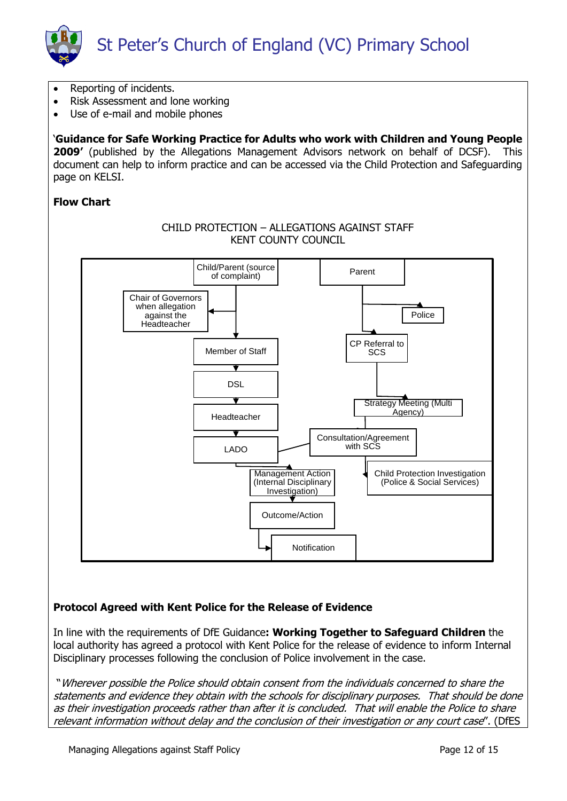

- Reporting of incidents.
- Risk Assessment and lone working
- Use of e-mail and mobile phones

'**Guidance for Safe Working Practice for Adults who work with Children and Young People 2009'** (published by the Allegations Management Advisors network on behalf of DCSF). This document can help to inform practice and can be accessed via the Child Protection and Safeguarding page on KELSI.

### **Flow Chart**



### **Protocol Agreed with Kent Police for the Release of Evidence**

In line with the requirements of DfE Guidance**: Working Together to Safeguard Children** the local authority has agreed a protocol with Kent Police for the release of evidence to inform Internal Disciplinary processes following the conclusion of Police involvement in the case.

"Wherever possible the Police should obtain consent from the individuals concerned to share the statements and evidence they obtain with the schools for disciplinary purposes. That should be done as their investigation proceeds rather than after it is concluded. That will enable the Police to share relevant information without delay and the conclusion of their investigation or any court case". (DfES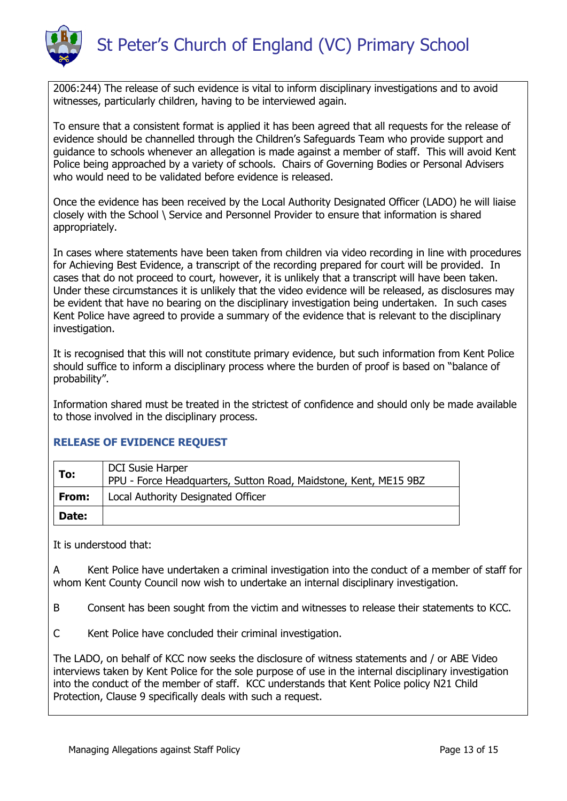

2006:244) The release of such evidence is vital to inform disciplinary investigations and to avoid witnesses, particularly children, having to be interviewed again.

To ensure that a consistent format is applied it has been agreed that all requests for the release of evidence should be channelled through the Children's Safeguards Team who provide support and guidance to schools whenever an allegation is made against a member of staff. This will avoid Kent Police being approached by a variety of schools. Chairs of Governing Bodies or Personal Advisers who would need to be validated before evidence is released.

Once the evidence has been received by the Local Authority Designated Officer (LADO) he will liaise closely with the School \ Service and Personnel Provider to ensure that information is shared appropriately.

In cases where statements have been taken from children via video recording in line with procedures for Achieving Best Evidence, a transcript of the recording prepared for court will be provided. In cases that do not proceed to court, however, it is unlikely that a transcript will have been taken. Under these circumstances it is unlikely that the video evidence will be released, as disclosures may be evident that have no bearing on the disciplinary investigation being undertaken. In such cases Kent Police have agreed to provide a summary of the evidence that is relevant to the disciplinary investigation.

It is recognised that this will not constitute primary evidence, but such information from Kent Police should suffice to inform a disciplinary process where the burden of proof is based on "balance of probability".

Information shared must be treated in the strictest of confidence and should only be made available to those involved in the disciplinary process.

### **RELEASE OF EVIDENCE REQUEST**

| To:          | <b>DCI Susie Harper</b><br>PPU - Force Headquarters, Sutton Road, Maidstone, Kent, ME15 9BZ |
|--------------|---------------------------------------------------------------------------------------------|
| From:        | Local Authority Designated Officer                                                          |
| <b>Date:</b> |                                                                                             |

It is understood that:

A Kent Police have undertaken a criminal investigation into the conduct of a member of staff for whom Kent County Council now wish to undertake an internal disciplinary investigation.

B Consent has been sought from the victim and witnesses to release their statements to KCC.

C Kent Police have concluded their criminal investigation.

The LADO, on behalf of KCC now seeks the disclosure of witness statements and / or ABE Video interviews taken by Kent Police for the sole purpose of use in the internal disciplinary investigation into the conduct of the member of staff. KCC understands that Kent Police policy N21 Child Protection, Clause 9 specifically deals with such a request.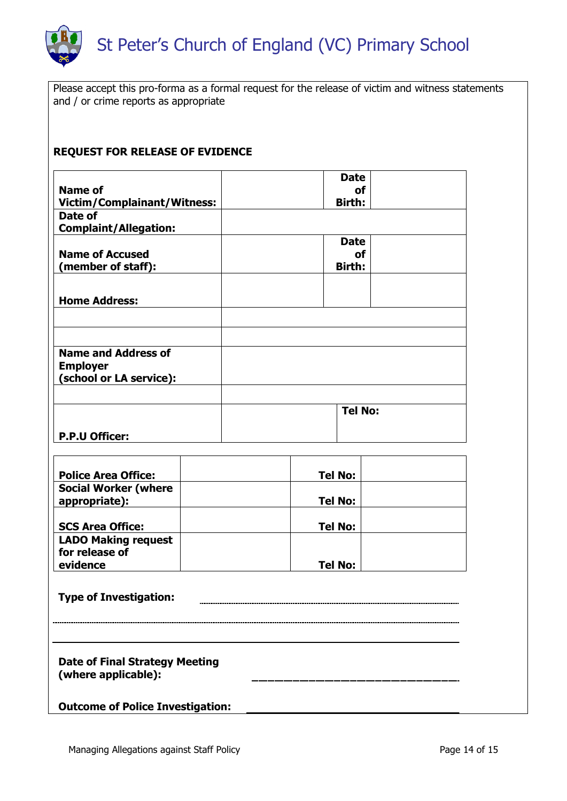

Please accept this pro-forma as a formal request for the release of victim and witness statements and / or crime reports as appropriate

# **REQUEST FOR RELEASE OF EVIDENCE**

|                                    | <b>Date</b>    |
|------------------------------------|----------------|
| <b>Name of</b>                     | οf             |
| <b>Victim/Complainant/Witness:</b> | Birth:         |
| Date of                            |                |
| <b>Complaint/Allegation:</b>       |                |
|                                    | <b>Date</b>    |
| <b>Name of Accused</b>             | οf             |
| (member of staff):                 | Birth:         |
|                                    |                |
|                                    |                |
| <b>Home Address:</b>               |                |
|                                    |                |
|                                    |                |
|                                    |                |
| <b>Name and Address of</b>         |                |
| <b>Employer</b>                    |                |
| (school or LA service):            |                |
|                                    |                |
|                                    | <b>Tel No:</b> |
|                                    |                |
| <b>P.P.U Officer:</b>              |                |

| <b>Police Area Office:</b>                   | <b>Tel No:</b> |
|----------------------------------------------|----------------|
| <b>Social Worker (where</b><br>appropriate): | <b>Tel No:</b> |
| <b>SCS Area Office:</b>                      | <b>Tel No:</b> |
| <b>LADO Making request</b><br>for release of |                |
| evidence                                     | <b>Tel No:</b> |

| <b>Type of Investigation:</b> | -------- |
|-------------------------------|----------|
|                               |          |
|                               |          |
|                               |          |
|                               |          |

**Date of Final Strategy Meeting (where applicable):** 

**Outcome of Police Investigation:**